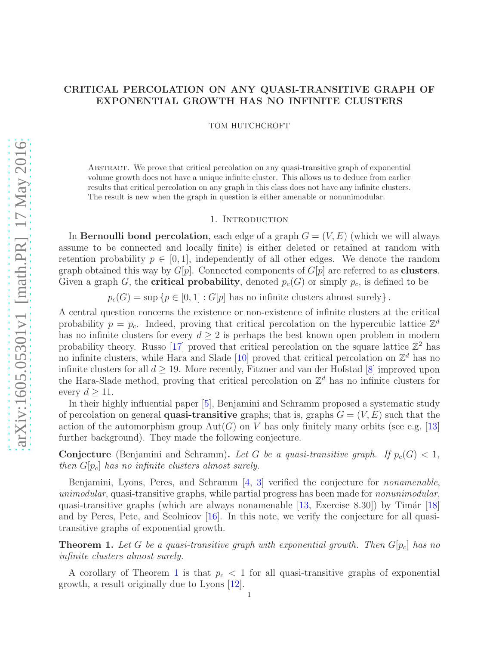# CRITICAL PERCOLATION ON ANY QUASI-TRANSITIVE GRAPH OF EXPONENTIAL GROWTH HAS NO INFINITE CLUSTERS

TOM HUTCHCROFT

Abstract. We prove that critical percolation on any quasi-transitive graph of exponential volume growth does not have a unique infinite cluster. This allows us to deduce from earlier results that critical percolation on any graph in this class does not have any infinite clusters. The result is new when the graph in question is either amenable or nonunimodular.

### 1. Introduction

In Bernoulli bond percolation, each edge of a graph  $G = (V, E)$  (which we will always assume to be connected and locally finite) is either deleted or retained at random with retention probability  $p \in [0, 1]$ , independently of all other edges. We denote the random graph obtained this way by  $G[p]$ . Connected components of  $G[p]$  are referred to as **clusters**. Given a graph G, the **critical probability**, denoted  $p_c(G)$  or simply  $p_c$ , is defined to be

 $p_c(G) = \sup \{p \in [0, 1] : G[p]$  has no infinite clusters almost surely }.

A central question concerns the existence or non-existence of infinite clusters at the critical probability  $p = p_c$ . Indeed, proving that critical percolation on the hypercubic lattice  $\mathbb{Z}^d$ has no infinite clusters for every  $d \geq 2$  is perhaps the best known open problem in modern probability theory. Russo [\[17\]](#page-3-0) proved that critical percolation on the square lattice  $\mathbb{Z}^2$  has no infinite clusters, while Hara and Slade [\[10\]](#page-3-1) proved that critical percolation on  $\mathbb{Z}^d$  has no infinite clusters for all  $d \geq 19$ . More recently, Fitzner and van der Hofstad [\[8\]](#page-3-2) improved upon the Hara-Slade method, proving that critical percolation on  $\mathbb{Z}^d$  has no infinite clusters for every  $d \geq 11$ .

In their highly influential paper [\[5\]](#page-3-3), Benjamini and Schramm proposed a systematic study of percolation on general **quasi-transitive** graphs; that is, graphs  $G = (V, E)$  such that the action of the automorphism group  $Aut(G)$  on V has only finitely many orbits (see e.g. [\[13\]](#page-3-4) further background). They made the following conjecture.

**Conjecture** (Benjamini and Schramm). Let G be a quasi-transitive graph. If  $p_c(G) < 1$ , then  $G[p_c]$  has no infinite clusters almost surely.

Benjamini, Lyons, Peres, and Schramm [\[4,](#page-3-5) [3\]](#page-3-6) verified the conjecture for *nonamenable*, unimodular, quasi-transitive graphs, while partial progress has been made for nonunimodular, quasi-transitive graphs (which are always nonamenable  $[13,$  Exercise 8.30)) by Timár  $[18]$ and by Peres, Pete, and Scolnicov [\[16\]](#page-3-8). In this note, we verify the conjecture for all quasitransitive graphs of exponential growth.

<span id="page-0-0"></span>**Theorem 1.** Let G be a quasi-transitive graph with exponential growth. Then  $G[p_c]$  has no infinite clusters almost surely.

A corollary of Theorem [1](#page-0-0) is that  $p_c < 1$  for all quasi-transitive graphs of exponential growth, a result originally due to Lyons [\[12\]](#page-3-9).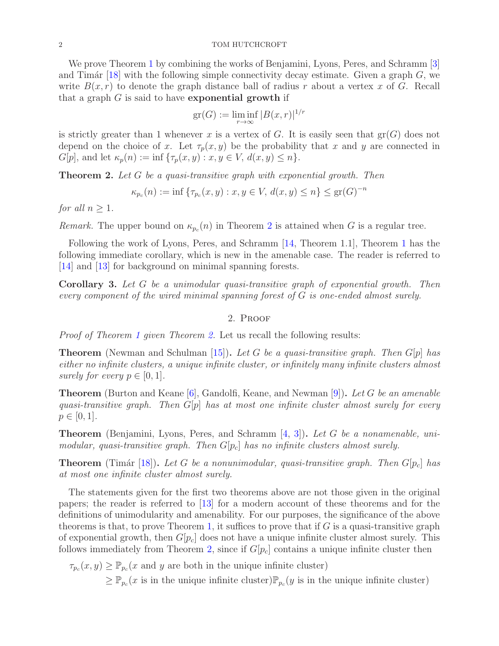### 2 TOM HUTCHCROFT

We prove Theorem [1](#page-0-0) by combining the works of Benjamini, Lyons, Peres, and Schramm [\[3\]](#page-3-6) and Timár [\[18\]](#page-3-7) with the following simple connectivity decay estimate. Given a graph  $G$ , we write  $B(x, r)$  to denote the graph distance ball of radius r about a vertex x of G. Recall that a graph  $G$  is said to have **exponential growth** if

$$
\operatorname{gr}(G) := \liminf_{r \to \infty} |B(x, r)|^{1/r}
$$

is strictly greater than 1 whenever x is a vertex of G. It is easily seen that  $gr(G)$  does not depend on the choice of x. Let  $\tau_p(x, y)$  be the probability that x and y are connected in  $G[p]$ , and let  $\kappa_p(n) := \inf \{\tau_p(x, y) : x, y \in V, d(x, y) \leq n\}.$ 

<span id="page-1-0"></span>**Theorem 2.** Let G be a quasi-transitive graph with exponential growth. Then

$$
\kappa_{p_c}(n) := \inf \{ \tau_{p_c}(x, y) : x, y \in V, d(x, y) \le n \} \le \text{gr}(G)^{-n}
$$

for all  $n > 1$ .

*Remark*. The upper bound on  $\kappa_{p_c}(n)$  in Theorem [2](#page-1-0) is attained when G is a regular tree.

Following the work of Lyons, Peres, and Schramm [\[14,](#page-3-10) Theorem 1.1], Theorem [1](#page-0-0) has the following immediate corollary, which is new in the amenable case. The reader is referred to [\[14\]](#page-3-10) and [\[13\]](#page-3-4) for background on minimal spanning forests.

Corollary 3. Let G be a unimodular quasi-transitive graph of exponential growth. Then every component of the wired minimal spanning forest of G is one-ended almost surely.

## 2. Proof

Proof of Theorem [1](#page-0-0) given Theorem [2.](#page-1-0) Let us recall the following results:

**Theorem** (Newman and Schulman [\[15\]](#page-3-11)). Let G be a quasi-transitive graph. Then  $G[p]$  has either no infinite clusters, a unique infinite cluster, or infinitely many infinite clusters almost surely for every  $p \in [0, 1]$ .

**Theorem** (Burton and Keane  $[6]$ , Gandolfi, Keane, and Newman  $[9]$ ). Let G be an amenable quasi-transitive graph. Then  $G[p]$  has at most one infinite cluster almost surely for every  $p \in [0, 1].$ 

Theorem (Benjamini, Lyons, Peres, and Schramm [\[4,](#page-3-5) [3\]](#page-3-6)). Let G be a nonamenable, unimodular, quasi-transitive graph. Then  $G[p_c]$  has no infinite clusters almost surely.

**Theorem** (Timár [\[18\]](#page-3-7)). Let G be a nonunimodular, quasi-transitive graph. Then  $G[p_c]$  has at most one infinite cluster almost surely.

The statements given for the first two theorems above are not those given in the original papers; the reader is referred to [\[13\]](#page-3-4) for a modern account of these theorems and for the definitions of unimodularity and amenability. For our purposes, the significance of the above theorems is that, to prove Theorem [1,](#page-0-0) it suffices to prove that if  $G$  is a quasi-transitive graph of exponential growth, then  $G[p_c]$  does not have a unique infinite cluster almost surely. This follows immediately from Theorem [2,](#page-1-0) since if  $G[p_c]$  contains a unique infinite cluster then

 $\tau_{p_c}(x, y) \geq \mathbb{P}_{p_c}(x \text{ and } y \text{ are both in the unique infinite cluster})$ 

 $\geq \mathbb{P}_{p_c}(x)$  is in the unique infinite cluster)  $\mathbb{P}_{p_c}(y)$  is in the unique infinite cluster)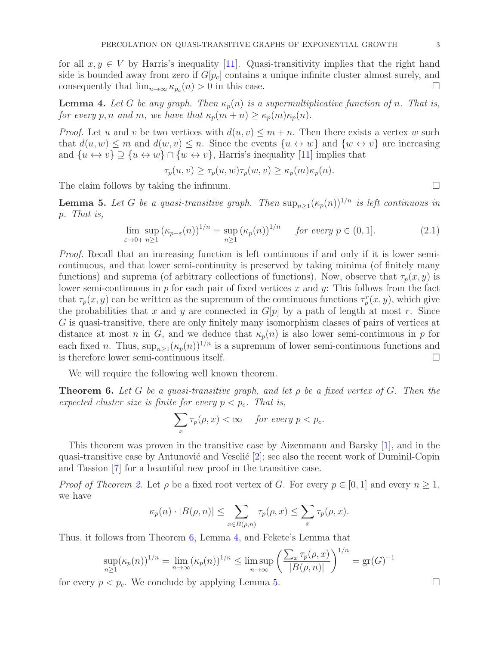for all  $x, y \in V$  by Harris's inequality [\[11\]](#page-3-14). Quasi-transitivity implies that the right hand side is bounded away from zero if  $G[p_c]$  contains a unique infinite cluster almost surely, and consequently that  $\lim_{n\to\infty} \kappa_{p_c}(n) > 0$  in this case.

<span id="page-2-1"></span>**Lemma 4.** Let G be any graph. Then  $\kappa_p(n)$  is a supermultiplicative function of n. That is, for every p, n and m, we have that  $\kappa_p(m+n) \geq \kappa_p(m)\kappa_p(n)$ .

*Proof.* Let u and v be two vertices with  $d(u, v) \leq m + n$ . Then there exists a vertex w such that  $d(u, w) \leq m$  and  $d(w, v) \leq n$ . Since the events  $\{u \leftrightarrow w\}$  and  $\{w \leftrightarrow v\}$  are increasing and  $\{u \leftrightarrow v\} \supseteq \{u \leftrightarrow w\} \cap \{w \leftrightarrow v\}$ , Harris's inequality [\[11\]](#page-3-14) implies that

 $\tau_p(u, v) \geq \tau_p(u, w)\tau_p(w, v) \geq \kappa_p(m)\kappa_p(n).$ 

The claim follows by taking the infimum.  $\Box$ 

<span id="page-2-2"></span>**Lemma 5.** Let G be a quasi-transitive graph. Then  $\sup_{n\geq 1} (\kappa_p(n))^{1/n}$  is left continuous in p. That is,

$$
\lim_{\varepsilon \to 0+} \sup_{n \ge 1} (\kappa_{p-\varepsilon}(n))^{1/n} = \sup_{n \ge 1} (\kappa_p(n))^{1/n} \quad \text{for every } p \in (0,1].
$$
 (2.1)

Proof. Recall that an increasing function is left continuous if and only if it is lower semicontinuous, and that lower semi-continuity is preserved by taking minima (of finitely many functions) and suprema (of arbitrary collections of functions). Now, observe that  $\tau_p(x, y)$  is lower semi-continuous in  $p$  for each pair of fixed vertices  $x$  and  $y$ : This follows from the fact that  $\tau_p(x, y)$  can be written as the supremum of the continuous functions  $\tau_p^r(x, y)$ , which give the probabilities that x and y are connected in  $G[p]$  by a path of length at most r. Since G is quasi-transitive, there are only finitely many isomorphism classes of pairs of vertices at distance at most n in G, and we deduce that  $\kappa_p(n)$  is also lower semi-continuous in p for each fixed n. Thus,  $\sup_{n\geq 1} (\kappa_p(n))^{1/n}$  is a supremum of lower semi-continuous functions and is therefore lower semi-continuous itself.

We will require the following well known theorem.

<span id="page-2-0"></span>**Theorem 6.** Let G be a quasi-transitive graph, and let  $\rho$  be a fixed vertex of G. Then the expected cluster size is finite for every  $p < p_c$ . That is,

$$
\sum_{x} \tau_p(\rho, x) < \infty \quad \text{for every } p < p_c.
$$

This theorem was proven in the transitive case by Aizenmann and Barsky [\[1\]](#page-3-15), and in the quasi-transitive case by Antunović and Veselić  $[2]$ ; see also the recent work of Duminil-Copin and Tassion [\[7\]](#page-3-17) for a beautiful new proof in the transitive case.

*Proof of Theorem [2.](#page-1-0)* Let  $\rho$  be a fixed root vertex of G. For every  $p \in [0,1]$  and every  $n \geq 1$ , we have

$$
\kappa_p(n) \cdot |B(\rho, n)| \le \sum_{x \in B(\rho, n)} \tau_p(\rho, x) \le \sum_x \tau_p(\rho, x).
$$

Thus, it follows from Theorem [6,](#page-2-0) Lemma [4,](#page-2-1) and Fekete's Lemma that

$$
\sup_{n\geq 1} (\kappa_p(n))^{1/n} = \lim_{n\to\infty} (\kappa_p(n))^{1/n} \leq \limsup_{n\to\infty} \left( \frac{\sum_x \tau_p(\rho, x)}{|B(\rho, n)|} \right)^{1/n} = \text{gr}(G)^{-1}
$$

for every  $p < p_c$ . We conclude by applying Lemma [5.](#page-2-2)